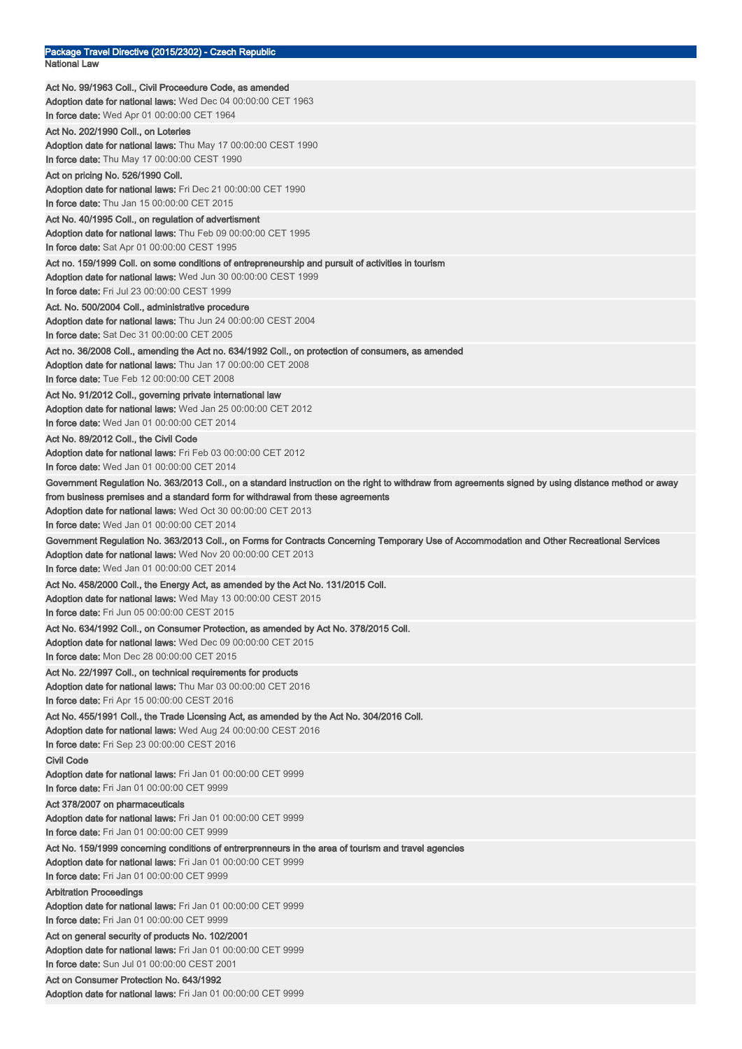| Package Travel Directive (2015/2302) - Czech Republic                                                                                                |
|------------------------------------------------------------------------------------------------------------------------------------------------------|
| <b>National Law</b>                                                                                                                                  |
| Act No. 99/1963 Coll., Civil Proceedure Code, as amended                                                                                             |
| Adoption date for national laws: Wed Dec 04 00:00:00 CET 1963                                                                                        |
| <b>In force date:</b> Wed Apr 01 00:00:00 CET 1964                                                                                                   |
| Act No. 202/1990 Coll., on Loteries                                                                                                                  |
| <b>Adoption date for national laws:</b> Thu May 17 00:00:00 CEST 1990                                                                                |
| In force date: Thu May 17 00:00:00 CEST 1990                                                                                                         |
| Act on pricing No. 526/1990 Coll.                                                                                                                    |
| <b>Adoption date for national laws: Fri Dec 21 00:00:00 CET 1990</b>                                                                                 |
| In force date: Thu Jan 15 00:00:00 CET 2015                                                                                                          |
| Act No. 40/1995 Coll., on regulation of advertisment                                                                                                 |
| Adoption date for national laws: Thu Feb 09 00:00:00 CET 1995                                                                                        |
| In force date: Sat Apr 01 00:00:00 CEST 1995                                                                                                         |
| Act no. 159/1999 Coll. on some conditions of entrepreneurship and pursuit of activities in tourism                                                   |
| Adoption date for national laws: Wed Jun 30 00:00:00 CEST 1999                                                                                       |
| <b>In force date:</b> Fri Jul 23 00:00:00 CEST 1999                                                                                                  |
| Act. No. 500/2004 Coll., administrative procedure                                                                                                    |
| Adoption date for national laws: Thu Jun 24 00:00:00 CEST 2004                                                                                       |
| In force date: Sat Dec 31 00:00:00 CET 2005                                                                                                          |
| Act no. 36/2008 Coll., amending the Act no. 634/1992 Coll., on protection of consumers, as amended                                                   |
| Adoption date for national laws: Thu Jan 17 00:00:00 CET 2008                                                                                        |
| In force date: Tue Feb 12 00:00:00 CET 2008                                                                                                          |
| Act No. 91/2012 Coll., governing private international law                                                                                           |
| Adoption date for national laws: Wed Jan 25 00:00:00 CET 2012                                                                                        |
| In force date: Wed Jan 01 00:00:00 CET 2014                                                                                                          |
| Act No. 89/2012 Coll., the Civil Code                                                                                                                |
| Adoption date for national laws: Fri Feb 03 00:00:00 CET 2012                                                                                        |
| In force date: Wed Jan 01 00:00:00 CET 2014                                                                                                          |
| Government Regulation No. 363/2013 Coll., on a standard instruction on the right to withdraw from agreements signed by using distance method or away |
| from business premises and a standard form for withdrawal from these agreements                                                                      |
| Adoption date for national laws: Wed Oct 30 00:00:00 CET 2013                                                                                        |
| In force date: Wed Jan 01 00:00:00 CET 2014                                                                                                          |
| Government Regulation No. 363/2013 Coll., on Forms for Contracts Concerning Temporary Use of Accommodation and Other Recreational Services           |
| Adoption date for national laws: Wed Nov 20 00:00:00 CET 2013<br>In force date: Wed Jan 01 00:00:00 CET 2014                                         |
|                                                                                                                                                      |
| Act No. 458/2000 Coll., the Energy Act, as amended by the Act No. 131/2015 Coll.<br>Adoption date for national laws: Wed May 13 00:00:00 CEST 2015   |
| In force date: Fri Jun 05 00:00:00 CEST 2015                                                                                                         |
| Act No. 634/1992 Coll., on Consumer Protection, as amended by Act No. 378/2015 Coll.                                                                 |
| Adoption date for national laws: Wed Dec 09 00:00:00 CET 2015                                                                                        |
| In force date: Mon Dec 28 00:00:00 CET 2015                                                                                                          |
| Act No. 22/1997 Coll., on technical requirements for products                                                                                        |
| Adoption date for national laws: Thu Mar 03 00:00:00 CET 2016                                                                                        |
| In force date: Fri Apr 15 00:00:00 CEST 2016                                                                                                         |
| Act No. 455/1991 Coll., the Trade Licensing Act, as amended by the Act No. 304/2016 Coll.                                                            |
| Adoption date for national laws: Wed Aug 24 00:00:00 CEST 2016                                                                                       |
| In force date: Fri Sep 23 00:00:00 CEST 2016                                                                                                         |
| <b>Civil Code</b>                                                                                                                                    |
| Adoption date for national laws: Fri Jan 01 00:00:00 CET 9999                                                                                        |
| In force date: Fri Jan 01 00:00:00 CET 9999                                                                                                          |
| Act 378/2007 on pharmaceuticals                                                                                                                      |
| Adoption date for national laws: Fri Jan 01 00:00:00 CET 9999                                                                                        |
| In force date: Fri Jan 01 00:00:00 CET 9999                                                                                                          |
| Act No. 159/1999 concerning conditions of entrerprenneurs in the area of tourism and travel agencies                                                 |
| Adoption date for national laws: Fri Jan 01 00:00:00 CET 9999                                                                                        |
| In force date: Fri Jan 01 00:00:00 CET 9999                                                                                                          |
| <b>Arbitration Proceedings</b>                                                                                                                       |
| Adoption date for national laws: Fri Jan 01 00:00:00 CET 9999                                                                                        |
| In force date: Fri Jan 01 00:00:00 CET 9999                                                                                                          |
| Act on general security of products No. 102/2001                                                                                                     |
| Adoption date for national laws: Fri Jan 01 00:00:00 CET 9999                                                                                        |
| In force date: Sun Jul 01 00:00:00 CEST 2001                                                                                                         |
| Act on Consumer Protection No. 643/1992                                                                                                              |
| Adoption date for national laws: Fri Jan 01 00:00:00 CET 9999                                                                                        |